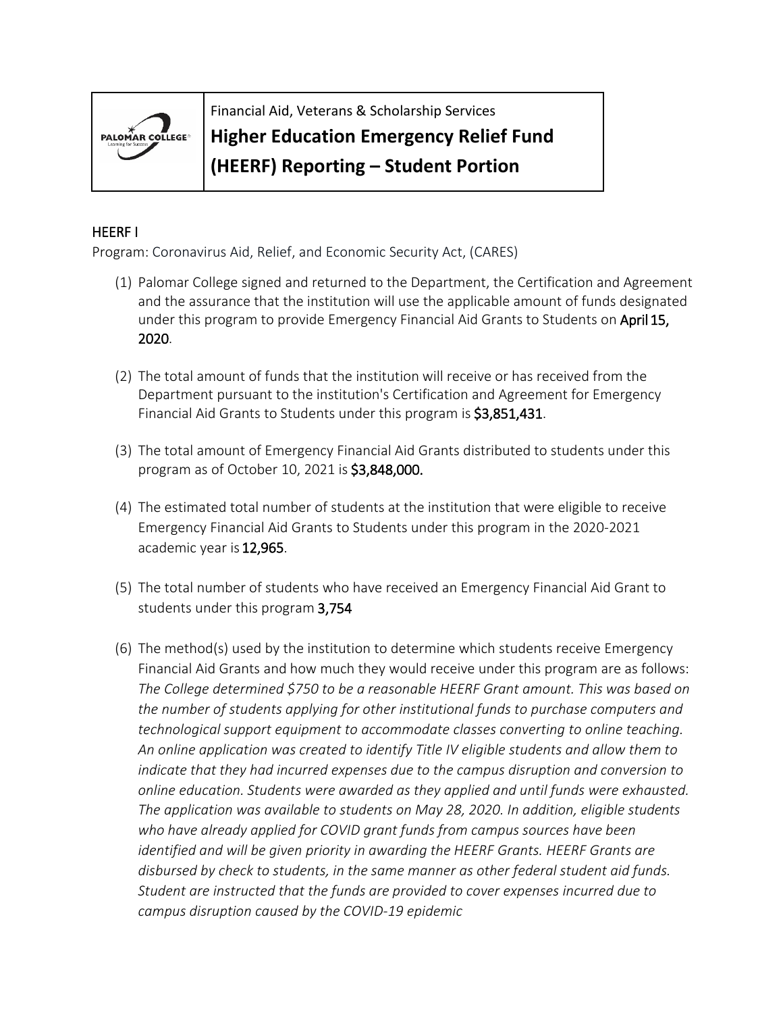

Financial Aid, Veterans & Scholarship Services

## **Higher Education Emergency Relief Fund**

**(HEERF) Reporting – Student Portion**

## HEERF I

Program: Coronavirus Aid, Relief, and Economic Security Act, (CARES)

- (1) Palomar College signed and returned to the Department, the Certification and Agreement and the assurance that the institution will use the applicable amount of funds designated under this program to provide Emergency Financial Aid Grants to Students on April 15, 2020.
- (2) The total amount of funds that the institution will receive or has received from the Department pursuant to the institution's Certification and Agreement for Emergency Financial Aid Grants to Students under this program is \$3,851,431.
- (3) The total amount of Emergency Financial Aid Grants distributed to students under this program as of October 10, 2021 is \$3,848,000.
- (4) The estimated total number of students at the institution that were eligible to receive Emergency Financial Aid Grants to Students under this program in the 2020-2021 academic year is 12,965.
- (5) The total number of students who have received an Emergency Financial Aid Grant to students under this program 3,754
- (6) The method(s) used by the institution to determine which students receive Emergency Financial Aid Grants and how much they would receive under this program are as follows: *The College determined \$750 to be a reasonable HEERF Grant amount. This was based on the number of students applying for other institutional funds to purchase computers and technological support equipment to accommodate classes converting to online teaching. An online application was created to identify Title IV eligible students and allow them to indicate that they had incurred expenses due to the campus disruption and conversion to online education. Students were awarded as they applied and until funds were exhausted. The application was available to students on May 28, 2020. In addition, eligible students who have already applied for COVID grant funds from campus sources have been identified and will be given priority in awarding the HEERF Grants. HEERF Grants are disbursed by check to students, in the same manner as other federal student aid funds. Student are instructed that the funds are provided to cover expenses incurred due to campus disruption caused by the COVID-19 epidemic*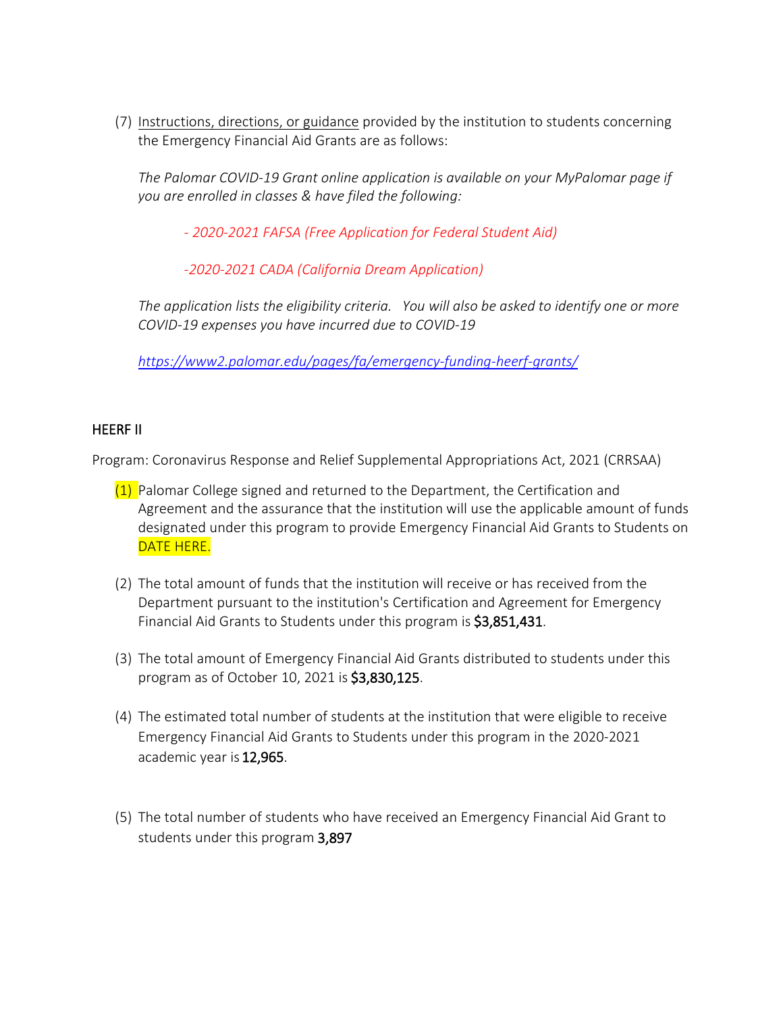(7) [Instructions, directions, or guidance](https://www2.palomar.edu/pages/fa/emergency-funding-heerf-grants/) provided by the institution to students concerning the Emergency Financial Aid Grants are as follows:

*The Palomar COVID-19 Grant online application is available on your MyPalomar page if you are enrolled in classes & have filed the following:*

*- [2020-2021 FAFSA \(Free Application for Federal Student Aid\)](https://studentaid.gov/h/apply-for-aid/fafsa)*

*-2020-2021 [CADA \(California Dream Application\)](https://dream.csac.ca.gov/)*

*The application lists the eligibility criteria. You will also be asked to identify one or more COVID-19 expenses you have incurred due to COVID-19*

*<https://www2.palomar.edu/pages/fa/emergency-funding-heerf-grants/>*

## HEERF II

Program: Coronavirus Response and Relief Supplemental Appropriations Act, 2021 (CRRSAA)

- $(1)$  Palomar College signed and returned to the Department, the Certification and Agreement and the assurance that the institution will use the applicable amount of funds designated under this program to provide Emergency Financial Aid Grants to Students on DATE HERE.
- (2) The total amount of funds that the institution will receive or has received from the Department pursuant to the institution's Certification and Agreement for Emergency Financial Aid Grants to Students under this program is \$3,851,431.
- (3) The total amount of Emergency Financial Aid Grants distributed to students under this program as of October 10, 2021 is \$3,830,125.
- (4) The estimated total number of students at the institution that were eligible to receive Emergency Financial Aid Grants to Students under this program in the 2020-2021 academic year is 12,965.
- (5) The total number of students who have received an Emergency Financial Aid Grant to students under this program 3,897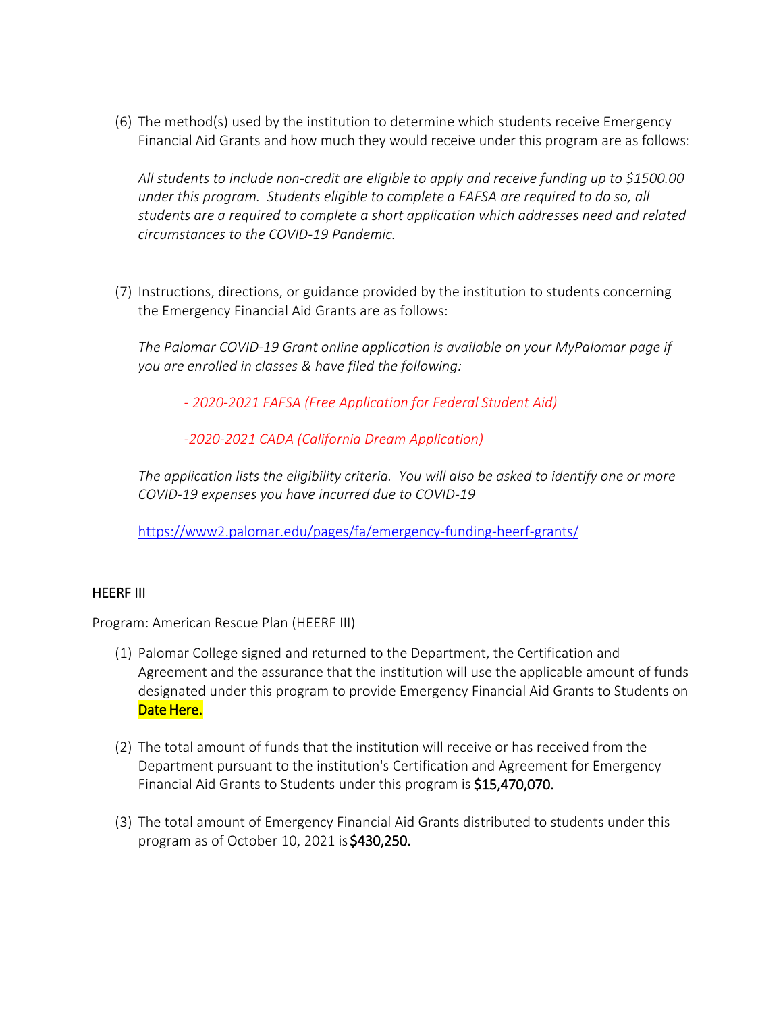(6) The method(s) used by the institution to determine which students receive Emergency Financial Aid Grants and how much they would receive under this program are as follows:

*All students to include non-credit are eligible to apply and receive funding up to \$1500.00 under this program. Students eligible to complete a FAFSA are required to do so, all students are a required to complete a short application which addresses need and related circumstances to the COVID-19 Pandemic.*

(7) Instructions, directions, or guidance provided by the institution to students concerning the Emergency Financial Aid Grants are as follows:

*The Palomar COVID-19 Grant online application is available on your MyPalomar page if you are enrolled in classes & have filed the following:*

*- [2020-2021 FAFSA \(Free Application for Federal Student Aid\)](https://studentaid.gov/h/apply-for-aid/fafsa)*

*[-2020-2021 CADA \(California Dream Application\)](https://dream.csac.ca.gov/)*

*The application lists the eligibility criteria. You will also be asked to identify one or more COVID-19 expenses you have incurred due to COVID-19*

<https://www2.palomar.edu/pages/fa/emergency-funding-heerf-grants/>

## HEERF III

Program: American Rescue Plan (HEERF III)

- (1) Palomar College signed and returned to the Department, the Certification and Agreement and the assurance that the institution will use the applicable amount of funds designated under this program to provide Emergency Financial Aid Grants to Students on Date Here.
- (2) The total amount of funds that the institution will receive or has received from the Department pursuant to the institution's Certification and Agreement for Emergency Financial Aid Grants to Students under this program is \$15,470,070.
- (3) The total amount of Emergency Financial Aid Grants distributed to students under this program as of October 10, 2021 is \$430,250.